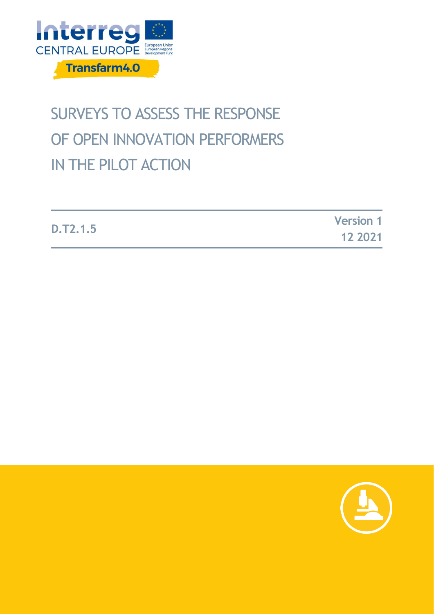

# SURVEYS TO ASSESS THE RESPONSE OF OPEN INNOVATION PERFORMERS IN THE PILOT ACTION

|                 | <b>Version 1</b> |
|-----------------|------------------|
| <b>D.T2.1.5</b> | 12 2021          |

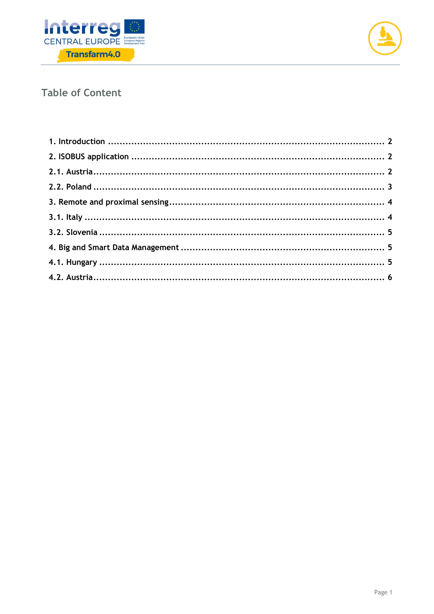



### **Table of Content**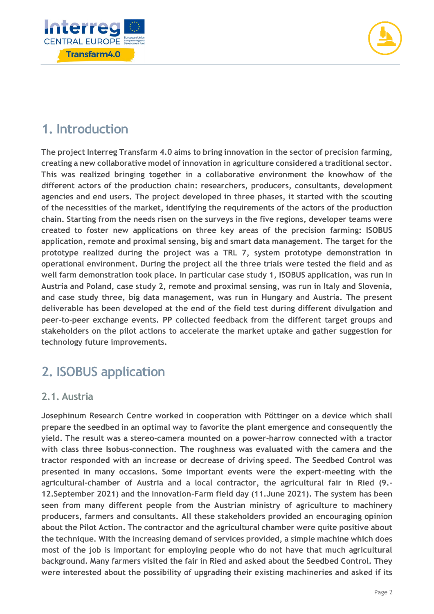



# <span id="page-2-0"></span>**1. Introduction**

**The project Interreg Transfarm 4.0 aims to bring innovation in the sector of precision farming, creating a new collaborative model of innovation in agriculture considered a traditional sector. This was realized bringing together in a collaborative environment the knowhow of the different actors of the production chain: researchers, producers, consultants, development agencies and end users. The project developed in three phases, it started with the scouting of the necessities of the market, identifying the requirements of the actors of the production chain. Starting from the needs risen on the surveys in the five regions, developer teams were created to foster new applications on three key areas of the precision farming: ISOBUS application, remote and proximal sensing, big and smart data management. The target for the prototype realized during the project was a TRL 7, system prototype demonstration in operational environment. During the project all the three trials were tested the field and as well farm demonstration took place. In particular case study 1, ISOBUS application, was run in Austria and Poland, case study 2, remote and proximal sensing, was run in Italy and Slovenia, and case study three, big data management, was run in Hungary and Austria. The present deliverable has been developed at the end of the field test during different divulgation and peer-to-peer exchange events. PP collected feedback from the different target groups and stakeholders on the pilot actions to accelerate the market uptake and gather suggestion for technology future improvements.**

# <span id="page-2-1"></span>**2. ISOBUS application**

#### <span id="page-2-2"></span>**2.1. Austria**

**Josephinum Research Centre worked in cooperation with Pöttinger on a device which shall prepare the seedbed in an optimal way to favorite the plant emergence and consequently the yield. The result was a stereo-camera mounted on a power-harrow connected with a tractor with class three Isobus-connection. The roughness was evaluated with the camera and the tractor responded with an increase or decrease of driving speed. The Seedbed Control was presented in many occasions. Some important events were the expert-meeting with the agricultural-chamber of Austria and a local contractor, the agricultural fair in Ried (9.- 12.September 2021) and the Innovation-Farm field day (11.June 2021). The system has been seen from many different people from the Austrian ministry of agriculture to machinery producers, farmers and consultants. All these stakeholders provided an encouraging opinion about the Pilot Action. The contractor and the agricultural chamber were quite positive about the technique. With the increasing demand of services provided, a simple machine which does most of the job is important for employing people who do not have that much agricultural background. Many farmers visited the fair in Ried and asked about the Seedbed Control. They were interested about the possibility of upgrading their existing machineries and asked if its**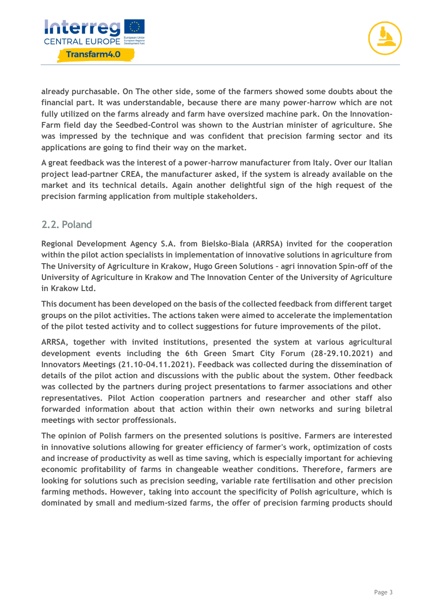



**already purchasable. On The other side, some of the farmers showed some doubts about the financial part. It was understandable, because there are many power-harrow which are not fully utilized on the farms already and farm have oversized machine park. On the Innovation-Farm field day the Seedbed-Control was shown to the Austrian minister of agriculture. She was impressed by the technique and was confident that precision farming sector and its applications are going to find their way on the market.** 

**A great feedback was the interest of a power-harrow manufacturer from Italy. Over our Italian project lead-partner CREA, the manufacturer asked, if the system is already available on the market and its technical details. Again another delightful sign of the high request of the precision farming application from multiple stakeholders.**

#### <span id="page-3-0"></span>**2.2. Poland**

**Regional Development Agency S.A. from Bielsko-Biala (ARRSA) invited for the cooperation within the pilot action specialists in implementation of innovative solutions in agriculture from The University of Agriculture in Krakow, Hugo Green Solutions – agri innovation Spin-off of the University of Agriculture in Krakow and The Innovation Center of the University of Agriculture in Krakow Ltd.**

**This document has been developed on the basis of the collected feedback from different target groups on the pilot activities. The actions taken were aimed to accelerate the implementation of the pilot tested activity and to collect suggestions for future improvements of the pilot.** 

**ARRSA, together with invited institutions, presented the system at various agricultural development events including the 6th Green Smart City Forum (28-29.10.2021) and Innovators Meetings (21.10-04.11.2021). Feedback was collected during the dissemination of details of the pilot action and discussions with the public about the system. Other feedback was collected by the partners during project presentations to farmer associations and other representatives. Pilot Action cooperation partners and researcher and other staff also forwarded information about that action within their own networks and suring biletral meetings with sector proffessionals.**

**The opinion of Polish farmers on the presented solutions is positive. Farmers are interested in innovative solutions allowing for greater efficiency of farmer's work, optimization of costs and increase of productivity as well as time saving, which is especially important for achieving economic profitability of farms in changeable weather conditions. Therefore, farmers are looking for solutions such as precision seeding, variable rate fertilisation and other precision farming methods. However, taking into account the specificity of Polish agriculture, which is dominated by small and medium-sized farms, the offer of precision farming products should**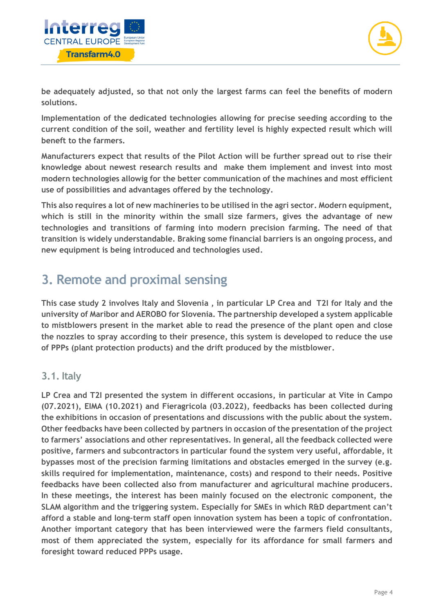



**be adequately adjusted, so that not only the largest farms can feel the benefits of modern solutions.**

**Implementation of the dedicated technologies allowing for precise seeding according to the current condition of the soil, weather and fertility level is highly expected result which will beneft to the farmers.**

**Manufacturers expect that results of the Pilot Action will be further spread out to rise their knowledge about newest research results and make them implement and invest into most modern technologies allowig for the better communication of the machines and most efficient use of possibilities and advantages offered by the technology.** 

**This also requires a lot of new machineries to be utilised in the agri sector. Modern equipment, which is still in the minority within the small size farmers, gives the advantage of new technologies and transitions of farming into modern precision farming. The need of that transition is widely understandable. Braking some financial barriers is an ongoing process, and new equipment is being introduced and technologies used.**

### <span id="page-4-0"></span>**3. Remote and proximal sensing**

**This case study 2 involves Italy and Slovenia , in particular LP Crea and T2I for Italy and the university of Maribor and AEROBO for Slovenia. The partnership developed a system applicable to mistblowers present in the market able to read the presence of the plant open and close the nozzles to spray according to their presence, this system is developed to reduce the use of PPPs (plant protection products) and the drift produced by the mistblower.**

### <span id="page-4-1"></span>**3.1. Italy**

**LP Crea and T2I presented the system in different occasions, in particular at Vite in Campo (07.2021), EIMA (10.2021) and Fieragricola (03.2022), feedbacks has been collected during the exhibitions in occasion of presentations and discussions with the public about the system. Other feedbacks have been collected by partners in occasion of the presentation of the project to farmers' associations and other representatives. In general, all the feedback collected were positive, farmers and subcontractors in particular found the system very useful, affordable, it bypasses most of the precision farming limitations and obstacles emerged in the survey (e.g. skills required for implementation, maintenance, costs) and respond to their needs. Positive feedbacks have been collected also from manufacturer and agricultural machine producers. In these meetings, the interest has been mainly focused on the electronic component, the SLAM algorithm and the triggering system. Especially for SMEs in which R&D department can't afford a stable and long-term staff open innovation system has been a topic of confrontation. Another important category that has been interviewed were the farmers field consultants, most of them appreciated the system, especially for its affordance for small farmers and foresight toward reduced PPPs usage.**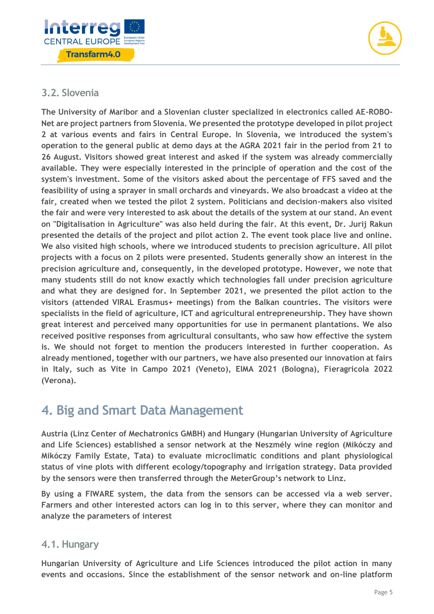



### <span id="page-5-0"></span>**3.2. Slovenia**

**The University of Maribor and a Slovenian cluster specialized in electronics called AE-ROBO-Net are project partners from Slovenia. We presented the prototype developed in pilot project 2 at various events and fairs in Central Europe. In Slovenia, we introduced the system's operation to the general public at demo days at the AGRA 2021 fair in the period from 21 to 26 August. Visitors showed great interest and asked if the system was already commercially available. They were especially interested in the principle of operation and the cost of the system's investment. Some of the visitors asked about the percentage of FFS saved and the feasibility of using a sprayer in small orchards and vineyards. We also broadcast a video at the fair, created when we tested the pilot 2 system. Politicians and decision-makers also visited the fair and were very interested to ask about the details of the system at our stand. An event on "Digitalisation in Agriculture" was also held during the fair. At this event, Dr. Jurij Rakun presented the details of the project and pilot action 2. The event took place live and online. We also visited high schools, where we introduced students to precision agriculture. All pilot projects with a focus on 2 pilots were presented. Students generally show an interest in the precision agriculture and, consequently, in the developed prototype. However, we note that many students still do not know exactly which technologies fall under precision agriculture and what they are designed for. In September 2021, we presented the pilot action to the visitors (attended VIRAL Erasmus+ meetings) from the Balkan countries. The visitors were specialists in the field of agriculture, ICT and agricultural entrepreneurship. They have shown great interest and perceived many opportunities for use in permanent plantations. We also received positive responses from agricultural consultants, who saw how effective the system is. We should not forget to mention the producers interested in further cooperation. As already mentioned, together with our partners, we have also presented our innovation at fairs in Italy, such as Vite in Campo 2021 (Veneto), EIMA 2021 (Bologna), Fieragricola 2022 (Verona).** 

### <span id="page-5-1"></span>**4. Big and Smart Data Management**

**Austria (Linz Center of Mechatronics GMBH) and Hungary (Hungarian University of Agriculture and Life Sciences) established a sensor network at the Neszmély wine region (Mikóczy and Mikóczy Family Estate, Tata) to evaluate microclimatic conditions and plant physiological status of vine plots with different ecology/topography and irrigation strategy. Data provided by the sensors were then transferred through the MeterGroup's network to Linz.** 

**By using a FIWARE system, the data from the sensors can be accessed via a web server. Farmers and other interested actors can log in to this server, where they can monitor and analyze the parameters of interest**

#### <span id="page-5-2"></span>**4.1. Hungary**

**Hungarian University of Agriculture and Life Sciences introduced the pilot action in many events and occasions. Since the establishment of the sensor network and on-line platform**